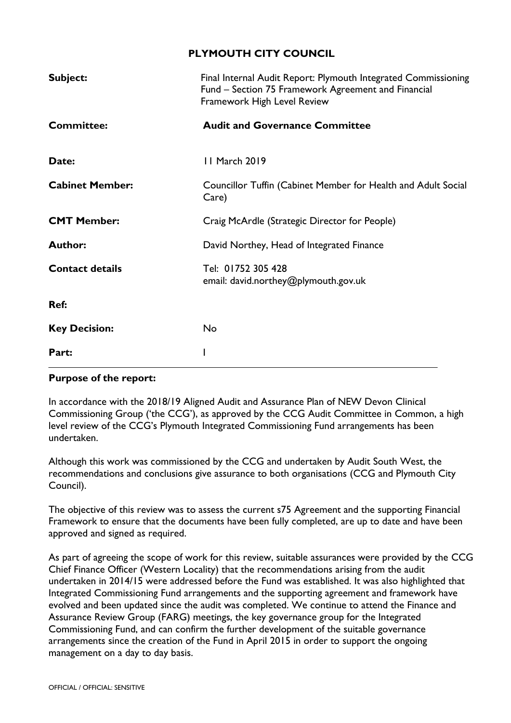#### **PLYMOUTH CITY COUNCIL**

| Subject:               | Final Internal Audit Report: Plymouth Integrated Commissioning<br>Fund – Section 75 Framework Agreement and Financial<br>Framework High Level Review |
|------------------------|------------------------------------------------------------------------------------------------------------------------------------------------------|
| <b>Committee:</b>      | <b>Audit and Governance Committee</b>                                                                                                                |
| Date:                  | 11 March 2019                                                                                                                                        |
| <b>Cabinet Member:</b> | Councillor Tuffin (Cabinet Member for Health and Adult Social<br>Care)                                                                               |
| <b>CMT Member:</b>     | Craig McArdle (Strategic Director for People)                                                                                                        |
| <b>Author:</b>         | David Northey, Head of Integrated Finance                                                                                                            |
| <b>Contact details</b> | Tel: 01752 305 428<br>email: david.northey@plymouth.gov.uk                                                                                           |
| Ref:                   |                                                                                                                                                      |
| <b>Key Decision:</b>   | No                                                                                                                                                   |
| Part:                  |                                                                                                                                                      |

#### **Purpose of the report:**

In accordance with the 2018/19 Aligned Audit and Assurance Plan of NEW Devon Clinical Commissioning Group ('the CCG'), as approved by the CCG Audit Committee in Common, a high level review of the CCG's Plymouth Integrated Commissioning Fund arrangements has been undertaken.

Although this work was commissioned by the CCG and undertaken by Audit South West, the recommendations and conclusions give assurance to both organisations (CCG and Plymouth City Council).

The objective of this review was to assess the current s75 Agreement and the supporting Financial Framework to ensure that the documents have been fully completed, are up to date and have been approved and signed as required.

As part of agreeing the scope of work for this review, suitable assurances were provided by the CCG Chief Finance Officer (Western Locality) that the recommendations arising from the audit undertaken in 2014/15 were addressed before the Fund was established. It was also highlighted that Integrated Commissioning Fund arrangements and the supporting agreement and framework have evolved and been updated since the audit was completed. We continue to attend the Finance and Assurance Review Group (FARG) meetings, the key governance group for the Integrated Commissioning Fund, and can confirm the further development of the suitable governance arrangements since the creation of the Fund in April 2015 in order to support the ongoing management on a day to day basis.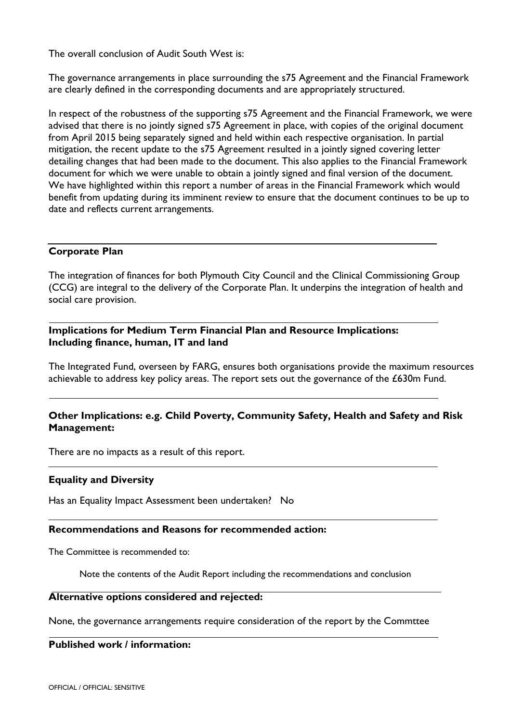The overall conclusion of Audit South West is:

The governance arrangements in place surrounding the s75 Agreement and the Financial Framework are clearly defined in the corresponding documents and are appropriately structured.

In respect of the robustness of the supporting s75 Agreement and the Financial Framework, we were advised that there is no jointly signed s75 Agreement in place, with copies of the original document from April 2015 being separately signed and held within each respective organisation. In partial mitigation, the recent update to the s75 Agreement resulted in a jointly signed covering letter detailing changes that had been made to the document. This also applies to the Financial Framework document for which we were unable to obtain a jointly signed and final version of the document. We have highlighted within this report a number of areas in the Financial Framework which would benefit from updating during its imminent review to ensure that the document continues to be up to date and reflects current arrangements.

#### **Corporate Plan**

The integration of finances for both Plymouth City Council and the Clinical Commissioning Group (CCG) are integral to the delivery of the Corporate Plan. It underpins the integration of health and social care provision.

#### **Implications for Medium Term Financial Plan and Resource Implications: Including finance, human, IT and land**

The Integrated Fund, overseen by FARG, ensures both organisations provide the maximum resources achievable to address key policy areas. The report sets out the governance of the £630m Fund.

#### **Other Implications: e.g. Child Poverty, Community Safety, Health and Safety and Risk Management:**

There are no impacts as a result of this report.

#### **Equality and Diversity**

Has an Equality Impact Assessment been undertaken? No

#### **Recommendations and Reasons for recommended action:**

The Committee is recommended to:

Note the contents of the Audit Report including the recommendations and conclusion

#### **Alternative options considered and rejected:**

None, the governance arrangements require consideration of the report by the Commttee

#### **Published work / information:**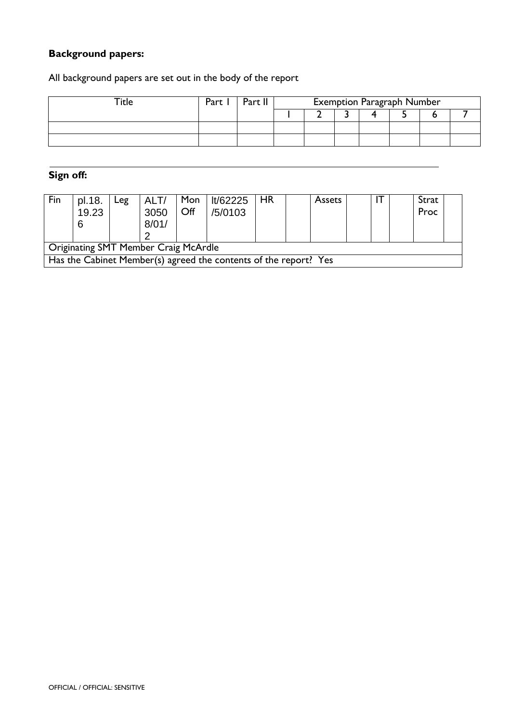### **Background papers:**

All background papers are set out in the body of the report

| Part | Dort I | <b>Exemption Paragraph Number</b> |  |  |  |  |  |  |
|------|--------|-----------------------------------|--|--|--|--|--|--|
|      |        |                                   |  |  |  |  |  |  |
|      |        |                                   |  |  |  |  |  |  |
|      |        |                                   |  |  |  |  |  |  |

### **Sign off:**

| Fin                                                              | pl.18.<br>19.23<br>6 | $_{\texttt{reg}}$ | ALT/<br>3050<br>8/01/ | Mon<br>Off | lt/62225<br>/5/0103 | <b>HR</b> | <b>Assets</b> |  | Strat<br>Proc |  |
|------------------------------------------------------------------|----------------------|-------------------|-----------------------|------------|---------------------|-----------|---------------|--|---------------|--|
| <b>Originating SMT Member Craig McArdle</b>                      |                      |                   |                       |            |                     |           |               |  |               |  |
| Has the Cabinet Member(s) agreed the contents of the report? Yes |                      |                   |                       |            |                     |           |               |  |               |  |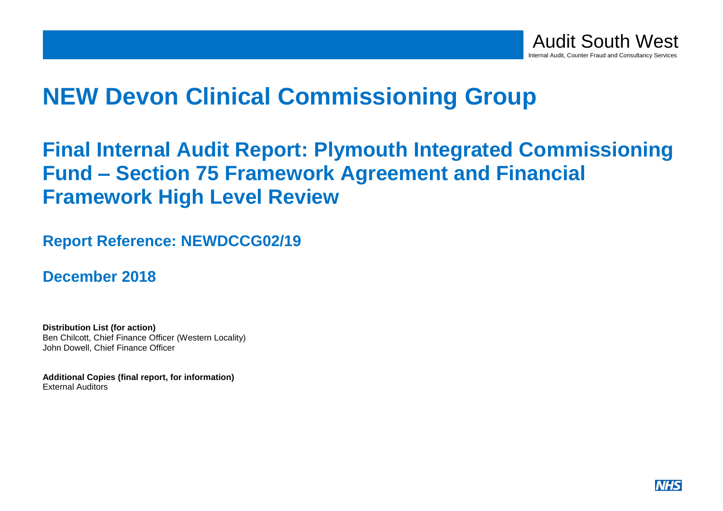

# **NEW Devon Clinical Commissioning Group**

# **Final Internal Audit Report: Plymouth Integrated Commissioning Fund – Section 75 Framework Agreement and Financial Framework High Level Review**

## **Report Reference: NEWDCCG02/19**

**December 2018**

**Distribution List (for action)** Ben Chilcott, Chief Finance Officer (Western Locality) John Dowell, Chief Finance Officer

**Additional Copies (final report, for information)** External Auditors

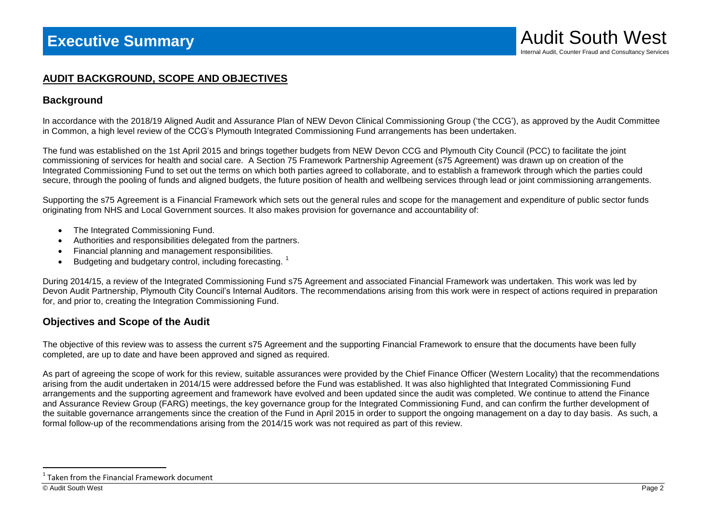#### **AUDIT BACKGROUND, SCOPE AND OBJECTIVES**

#### **Background**

In accordance with the 2018/19 Aligned Audit and Assurance Plan of NEW Devon Clinical Commissioning Group ('the CCG'), as approved by the Audit Committee in Common, a high level review of the CCG's Plymouth Integrated Commissioning Fund arrangements has been undertaken.

The fund was established on the 1st April 2015 and brings together budgets from NEW Devon CCG and Plymouth City Council (PCC) to facilitate the joint commissioning of services for health and social care. A Section 75 Framework Partnership Agreement (s75 Agreement) was drawn up on creation of the Integrated Commissioning Fund to set out the terms on which both parties agreed to collaborate, and to establish a framework through which the parties could secure, through the pooling of funds and aligned budgets, the future position of health and wellbeing services through lead or joint commissioning arrangements.

Supporting the s75 Agreement is a Financial Framework which sets out the general rules and scope for the management and expenditure of public sector funds originating from NHS and Local Government sources. It also makes provision for governance and accountability of:

- The Integrated Commissioning Fund.
- Authorities and responsibilities delegated from the partners.
- Financial planning and management responsibilities.
- $\bullet$  Budgeting and budgetary control, including forecasting. <sup>1</sup>

During 2014/15, a review of the Integrated Commissioning Fund s75 Agreement and associated Financial Framework was undertaken. This work was led by Devon Audit Partnership, Plymouth City Council's Internal Auditors. The recommendations arising from this work were in respect of actions required in preparation for, and prior to, creating the Integration Commissioning Fund.

### **Objectives and Scope of the Audit**

The objective of this review was to assess the current s75 Agreement and the supporting Financial Framework to ensure that the documents have been fully completed, are up to date and have been approved and signed as required.

As part of agreeing the scope of work for this review, suitable assurances were provided by the Chief Finance Officer (Western Locality) that the recommendations arising from the audit undertaken in 2014/15 were addressed before the Fund was established. It was also highlighted that Integrated Commissioning Fund arrangements and the supporting agreement and framework have evolved and been updated since the audit was completed. We continue to attend the Finance and Assurance Review Group (FARG) meetings, the key governance group for the Integrated Commissioning Fund, and can confirm the further development of the suitable governance arrangements since the creation of the Fund in April 2015 in order to support the ongoing management on a day to day basis. As such, a formal follow-up of the recommendations arising from the 2014/15 work was not required as part of this review.

 $\overline{a}$ 

<sup>&</sup>lt;sup>1</sup> Taken from the Financial Framework document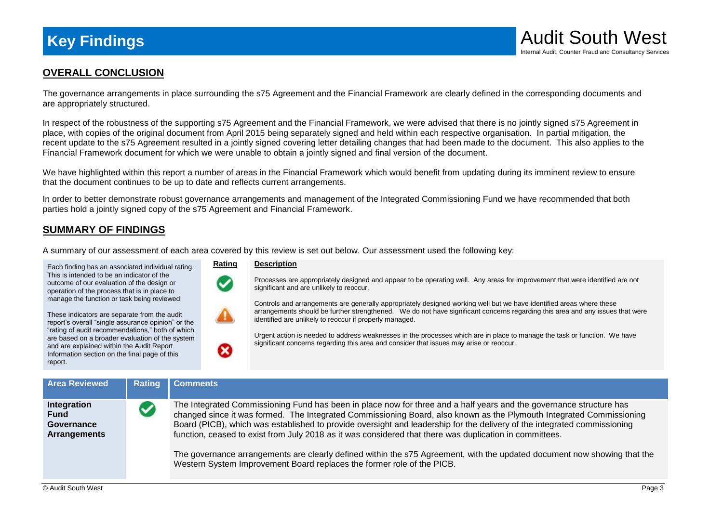

#### **OVERALL CONCLUSION**

The governance arrangements in place surrounding the s75 Agreement and the Financial Framework are clearly defined in the corresponding documents and are appropriately structured.

In respect of the robustness of the supporting s75 Agreement and the Financial Framework, we were advised that there is no jointly signed s75 Agreement in place, with copies of the original document from April 2015 being separately signed and held within each respective organisation. In partial mitigation, the recent update to the s75 Agreement resulted in a jointly signed covering letter detailing changes that had been made to the document. This also applies to the Financial Framework document for which we were unable to obtain a jointly signed and final version of the document.

We have highlighted within this report a number of areas in the Financial Framework which would benefit from updating during its imminent review to ensure that the document continues to be up to date and reflects current arrangements.

In order to better demonstrate robust governance arrangements and management of the Integrated Commissioning Fund we have recommended that both parties hold a jointly signed copy of the s75 Agreement and Financial Framework.

#### **SUMMARY OF FINDINGS**

A summary of our assessment of each area covered by this review is set out below. Our assessment used the following key:

Each finding has an associated individual rating. This is intended to be an indicator of the outcome of our evaluation of the design or operation of the process that is in place to manage the function or task being reviewed

These indicators are separate from the audit report's overall "single assurance opinion" or the "rating of audit recommendations," both of which are based on a broader evaluation of the system and are explained within the Audit Report Information section on the final page of this report.

#### **Rating Description**

Ω

Processes are appropriately designed and appear to be operating well. Any areas for improvement that were identified are not significant and are unlikely to reoccur.

Controls and arrangements are generally appropriately designed working well but we have identified areas where these arrangements should be further strengthened. We do not have significant concerns regarding this area and any issues that were identified are unlikely to reoccur if properly managed.

Urgent action is needed to address weaknesses in the processes which are in place to manage the task or function. We have significant concerns regarding this area and consider that issues may arise or reoccur.

| <b>Area Reviewed</b>                                            | Rating | <b>Comments</b>                                                                                                                                                                                                                                                                                                                                                                                                                                                                                                                                                                                                                                                                          |
|-----------------------------------------------------------------|--------|------------------------------------------------------------------------------------------------------------------------------------------------------------------------------------------------------------------------------------------------------------------------------------------------------------------------------------------------------------------------------------------------------------------------------------------------------------------------------------------------------------------------------------------------------------------------------------------------------------------------------------------------------------------------------------------|
| Integration<br><b>Fund</b><br>Governance<br><b>Arrangements</b> |        | The Integrated Commissioning Fund has been in place now for three and a half years and the governance structure has<br>changed since it was formed. The Integrated Commissioning Board, also known as the Plymouth Integrated Commissioning<br>Board (PICB), which was established to provide oversight and leadership for the delivery of the integrated commissioning<br>function, ceased to exist from July 2018 as it was considered that there was duplication in committees.<br>The governance arrangements are clearly defined within the s75 Agreement, with the updated document now showing that the<br>Western System Improvement Board replaces the former role of the PICB. |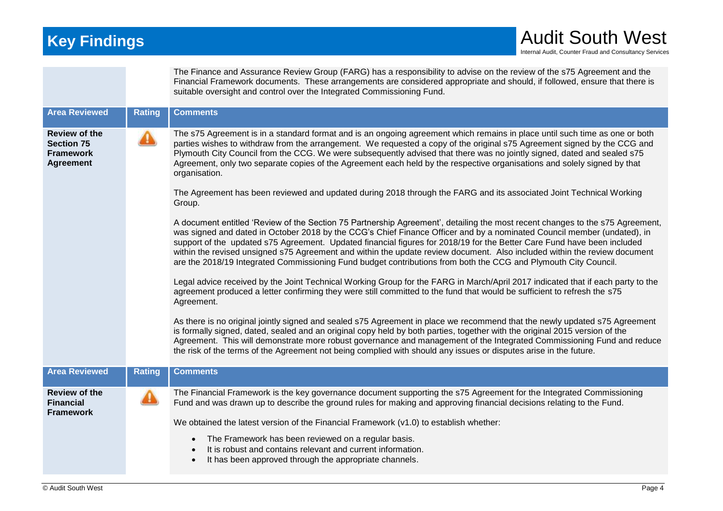|                                                                                   |               | The Finance and Assurance Review Group (FARG) has a responsibility to advise on the review of the s75 Agreement and the<br>Financial Framework documents. These arrangements are considered appropriate and should, if followed, ensure that there is<br>suitable oversight and control over the Integrated Commissioning Fund.                                                                                                                                                                                                                                                                                                                        |
|-----------------------------------------------------------------------------------|---------------|--------------------------------------------------------------------------------------------------------------------------------------------------------------------------------------------------------------------------------------------------------------------------------------------------------------------------------------------------------------------------------------------------------------------------------------------------------------------------------------------------------------------------------------------------------------------------------------------------------------------------------------------------------|
| <b>Area Reviewed</b>                                                              | <b>Rating</b> | <b>Comments</b>                                                                                                                                                                                                                                                                                                                                                                                                                                                                                                                                                                                                                                        |
| <b>Review of the</b><br><b>Section 75</b><br><b>Framework</b><br><b>Agreement</b> |               | The s75 Agreement is in a standard format and is an ongoing agreement which remains in place until such time as one or both<br>parties wishes to withdraw from the arrangement. We requested a copy of the original s75 Agreement signed by the CCG and<br>Plymouth City Council from the CCG. We were subsequently advised that there was no jointly signed, dated and sealed s75<br>Agreement, only two separate copies of the Agreement each held by the respective organisations and solely signed by that<br>organisation.<br>The Agreement has been reviewed and updated during 2018 through the FARG and its associated Joint Technical Working |
|                                                                                   |               | Group.                                                                                                                                                                                                                                                                                                                                                                                                                                                                                                                                                                                                                                                 |
|                                                                                   |               | A document entitled 'Review of the Section 75 Partnership Agreement', detailing the most recent changes to the s75 Agreement,<br>was signed and dated in October 2018 by the CCG's Chief Finance Officer and by a nominated Council member (undated), in<br>support of the updated s75 Agreement. Updated financial figures for 2018/19 for the Better Care Fund have been included<br>within the revised unsigned s75 Agreement and within the update review document. Also included within the review document<br>are the 2018/19 Integrated Commissioning Fund budget contributions from both the CCG and Plymouth City Council.                    |
|                                                                                   |               | Legal advice received by the Joint Technical Working Group for the FARG in March/April 2017 indicated that if each party to the<br>agreement produced a letter confirming they were still committed to the fund that would be sufficient to refresh the s75<br>Agreement.                                                                                                                                                                                                                                                                                                                                                                              |
|                                                                                   |               | As there is no original jointly signed and sealed s75 Agreement in place we recommend that the newly updated s75 Agreement<br>is formally signed, dated, sealed and an original copy held by both parties, together with the original 2015 version of the<br>Agreement. This will demonstrate more robust governance and management of the Integrated Commissioning Fund and reduce<br>the risk of the terms of the Agreement not being complied with should any issues or disputes arise in the future.                                                                                                                                               |
| <b>Area Reviewed</b>                                                              | <b>Rating</b> | <b>Comments</b>                                                                                                                                                                                                                                                                                                                                                                                                                                                                                                                                                                                                                                        |
| <b>Review of the</b><br><b>Financial</b><br><b>Framework</b>                      |               | The Financial Framework is the key governance document supporting the s75 Agreement for the Integrated Commissioning<br>Fund and was drawn up to describe the ground rules for making and approving financial decisions relating to the Fund.                                                                                                                                                                                                                                                                                                                                                                                                          |
|                                                                                   |               | We obtained the latest version of the Financial Framework (v1.0) to establish whether:                                                                                                                                                                                                                                                                                                                                                                                                                                                                                                                                                                 |
|                                                                                   |               | The Framework has been reviewed on a regular basis.<br>It is robust and contains relevant and current information.<br>It has been approved through the appropriate channels.                                                                                                                                                                                                                                                                                                                                                                                                                                                                           |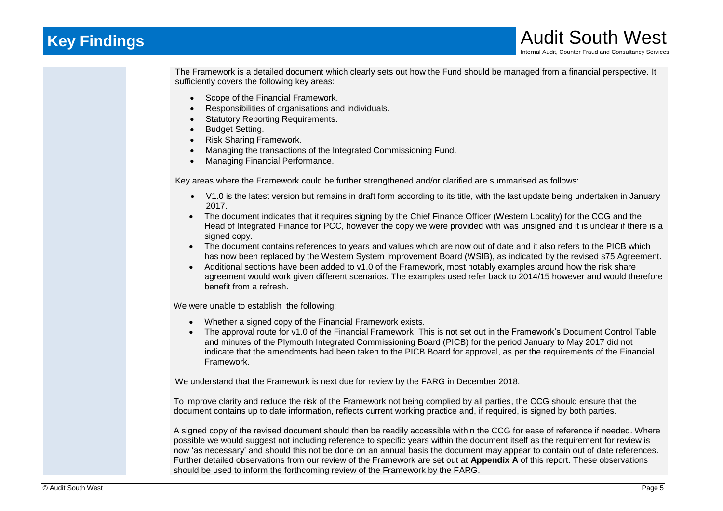## **Key Findings Audit South West Audit South West**

The Framework is a detailed document which clearly sets out how the Fund should be managed from a financial perspective. It sufficiently covers the following key areas:

- Scope of the Financial Framework.
- Responsibilities of organisations and individuals.
- Statutory Reporting Requirements.
- Budget Setting.
- Risk Sharing Framework.
- Managing the transactions of the Integrated Commissioning Fund.
- Managing Financial Performance.

Key areas where the Framework could be further strengthened and/or clarified are summarised as follows:

- V1.0 is the latest version but remains in draft form according to its title, with the last update being undertaken in January 2017.
- The document indicates that it requires signing by the Chief Finance Officer (Western Locality) for the CCG and the Head of Integrated Finance for PCC, however the copy we were provided with was unsigned and it is unclear if there is a signed copy.
- The document contains references to years and values which are now out of date and it also refers to the PICB which has now been replaced by the Western System Improvement Board (WSIB), as indicated by the revised s75 Agreement.
- Additional sections have been added to v1.0 of the Framework, most notably examples around how the risk share agreement would work given different scenarios. The examples used refer back to 2014/15 however and would therefore benefit from a refresh.

We were unable to establish the following:

- Whether a signed copy of the Financial Framework exists.
- The approval route for v1.0 of the Financial Framework. This is not set out in the Framework's Document Control Table and minutes of the Plymouth Integrated Commissioning Board (PICB) for the period January to May 2017 did not indicate that the amendments had been taken to the PICB Board for approval, as per the requirements of the Financial Framework.

We understand that the Framework is next due for review by the FARG in December 2018.

To improve clarity and reduce the risk of the Framework not being complied by all parties, the CCG should ensure that the document contains up to date information, reflects current working practice and, if required, is signed by both parties.

A signed copy of the revised document should then be readily accessible within the CCG for ease of reference if needed. Where possible we would suggest not including reference to specific years within the document itself as the requirement for review is now 'as necessary' and should this not be done on an annual basis the document may appear to contain out of date references. Further detailed observations from our review of the Framework are set out at **Appendix A** of this report. These observations should be used to inform the forthcoming review of the Framework by the FARG.

Internal Audit, Counter Fraud and Consultancy Services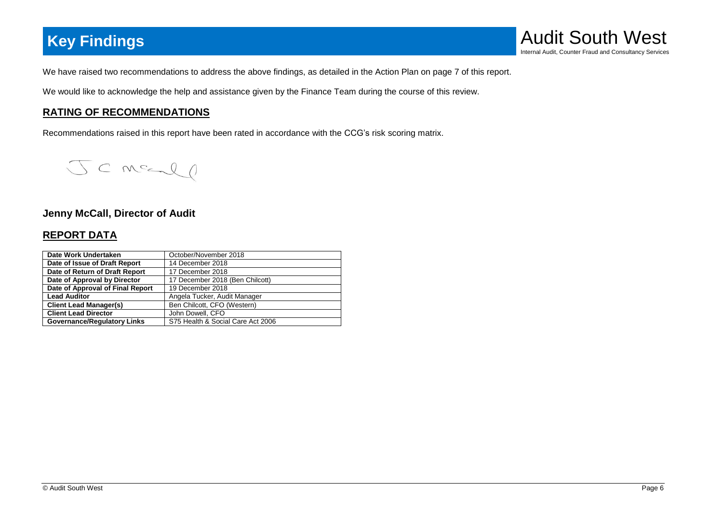

We have raised two recommendations to address the above findings, as detailed in the Action Plan on page 7 of this report.

We would like to acknowledge the help and assistance given by the Finance Team during the course of this review.

### **RATING OF RECOMMENDATIONS**

Recommendations raised in this report have been rated in accordance with the CCG's risk scoring matrix.

JCMELO

#### **Jenny McCall, Director of Audit**

### **REPORT DATA**

| Date Work Undertaken               | October/November 2018             |
|------------------------------------|-----------------------------------|
| Date of Issue of Draft Report      | 14 December 2018                  |
| Date of Return of Draft Report     | 17 December 2018                  |
| Date of Approval by Director       | 17 December 2018 (Ben Chilcott)   |
| Date of Approval of Final Report   | 19 December 2018                  |
| <b>Lead Auditor</b>                | Angela Tucker, Audit Manager      |
| <b>Client Lead Manager(s)</b>      | Ben Chilcott, CFO (Western)       |
| <b>Client Lead Director</b>        | John Dowell, CFO                  |
| <b>Governance/Regulatory Links</b> | S75 Health & Social Care Act 2006 |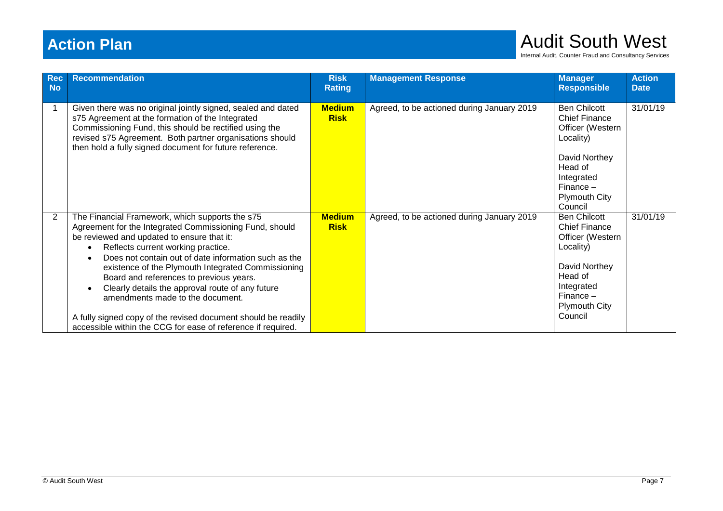# **Action Plan** Audit South West

Internal Audit, Counter Fraud and Consultancy Services

| <b>Rec</b><br><b>No</b> | <b>Recommendation</b>                                                                                                                                                                                                                                                                                                                                                                                                                                                                                                                                                                                                   | <b>Risk</b><br><b>Rating</b> | <b>Management Response</b>                 | <b>Manager</b><br><b>Responsible</b>                                                                                                                                     | <b>Action</b><br><b>Date</b> |
|-------------------------|-------------------------------------------------------------------------------------------------------------------------------------------------------------------------------------------------------------------------------------------------------------------------------------------------------------------------------------------------------------------------------------------------------------------------------------------------------------------------------------------------------------------------------------------------------------------------------------------------------------------------|------------------------------|--------------------------------------------|--------------------------------------------------------------------------------------------------------------------------------------------------------------------------|------------------------------|
| 1                       | Given there was no original jointly signed, sealed and dated<br>s75 Agreement at the formation of the Integrated<br>Commissioning Fund, this should be rectified using the<br>revised s75 Agreement. Both partner organisations should<br>then hold a fully signed document for future reference.                                                                                                                                                                                                                                                                                                                       | <b>Medium</b><br><b>Risk</b> | Agreed, to be actioned during January 2019 | <b>Ben Chilcott</b><br><b>Chief Finance</b><br>Officer (Western<br>Locality)<br>David Northey<br>Head of<br>Integrated<br>$Finance -$<br><b>Plymouth City</b><br>Council | 31/01/19                     |
| 2                       | The Financial Framework, which supports the s75<br>Agreement for the Integrated Commissioning Fund, should<br>be reviewed and updated to ensure that it:<br>Reflects current working practice.<br>$\bullet$<br>Does not contain out of date information such as the<br>$\bullet$<br>existence of the Plymouth Integrated Commissioning<br>Board and references to previous years.<br>Clearly details the approval route of any future<br>$\bullet$<br>amendments made to the document.<br>A fully signed copy of the revised document should be readily<br>accessible within the CCG for ease of reference if required. | <b>Medium</b><br><b>Risk</b> | Agreed, to be actioned during January 2019 | <b>Ben Chilcott</b><br><b>Chief Finance</b><br>Officer (Western<br>Locality)<br>David Northey<br>Head of<br>Integrated<br>Finance $-$<br><b>Plymouth City</b><br>Council | 31/01/19                     |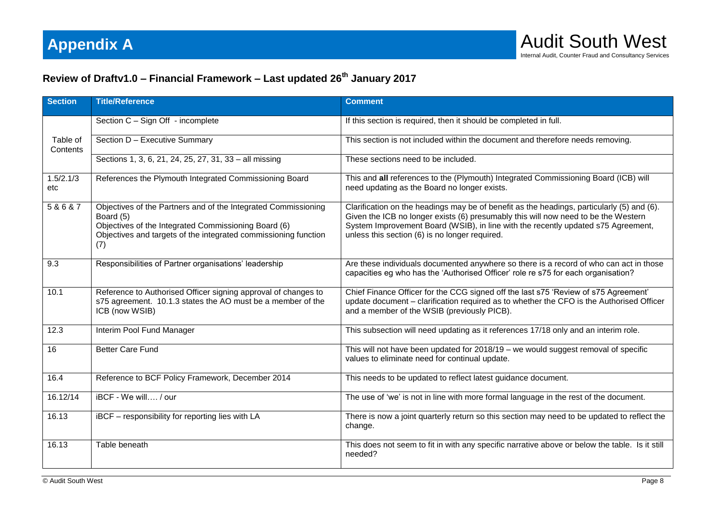### **Review of Draftv1.0 – Financial Framework – Last updated 26th January 2017**

| <b>Section</b>       | <b>Title/Reference</b>                                                                                                                                                                                        | <b>Comment</b>                                                                                                                                                                                                                                                                                                          |
|----------------------|---------------------------------------------------------------------------------------------------------------------------------------------------------------------------------------------------------------|-------------------------------------------------------------------------------------------------------------------------------------------------------------------------------------------------------------------------------------------------------------------------------------------------------------------------|
|                      | Section C - Sign Off - incomplete                                                                                                                                                                             | If this section is required, then it should be completed in full.                                                                                                                                                                                                                                                       |
| Table of<br>Contents | Section D - Executive Summary                                                                                                                                                                                 | This section is not included within the document and therefore needs removing.                                                                                                                                                                                                                                          |
|                      | Sections 1, 3, 6, 21, 24, 25, 27, 31, 33 - all missing                                                                                                                                                        | These sections need to be included.                                                                                                                                                                                                                                                                                     |
| 1.5/2.1/3<br>etc     | References the Plymouth Integrated Commissioning Board                                                                                                                                                        | This and all references to the (Plymouth) Integrated Commissioning Board (ICB) will<br>need updating as the Board no longer exists.                                                                                                                                                                                     |
| 5&6&7                | Objectives of the Partners and of the Integrated Commissioning<br>Board (5)<br>Objectives of the Integrated Commissioning Board (6)<br>Objectives and targets of the integrated commissioning function<br>(7) | Clarification on the headings may be of benefit as the headings, particularly (5) and (6).<br>Given the ICB no longer exists (6) presumably this will now need to be the Western<br>System Improvement Board (WSIB), in line with the recently updated s75 Agreement,<br>unless this section (6) is no longer required. |
| 9.3                  | Responsibilities of Partner organisations' leadership                                                                                                                                                         | Are these individuals documented anywhere so there is a record of who can act in those<br>capacities eg who has the 'Authorised Officer' role re s75 for each organisation?                                                                                                                                             |
| 10.1                 | Reference to Authorised Officer signing approval of changes to<br>s75 agreement. 10.1.3 states the AO must be a member of the<br>ICB (now WSIB)                                                               | Chief Finance Officer for the CCG signed off the last s75 'Review of s75 Agreement'<br>update document - clarification required as to whether the CFO is the Authorised Officer<br>and a member of the WSIB (previously PICB).                                                                                          |
| 12.3                 | Interim Pool Fund Manager                                                                                                                                                                                     | This subsection will need updating as it references 17/18 only and an interim role.                                                                                                                                                                                                                                     |
| 16                   | <b>Better Care Fund</b>                                                                                                                                                                                       | This will not have been updated for 2018/19 - we would suggest removal of specific<br>values to eliminate need for continual update.                                                                                                                                                                                    |
| 16.4                 | Reference to BCF Policy Framework, December 2014                                                                                                                                                              | This needs to be updated to reflect latest guidance document.                                                                                                                                                                                                                                                           |
| 16.12/14             | iBCF - We will / our                                                                                                                                                                                          | The use of 'we' is not in line with more formal language in the rest of the document.                                                                                                                                                                                                                                   |
| 16.13                | iBCF - responsibility for reporting lies with LA                                                                                                                                                              | There is now a joint quarterly return so this section may need to be updated to reflect the<br>change.                                                                                                                                                                                                                  |
| 16.13                | Table beneath                                                                                                                                                                                                 | This does not seem to fit in with any specific narrative above or below the table. Is it still<br>needed?                                                                                                                                                                                                               |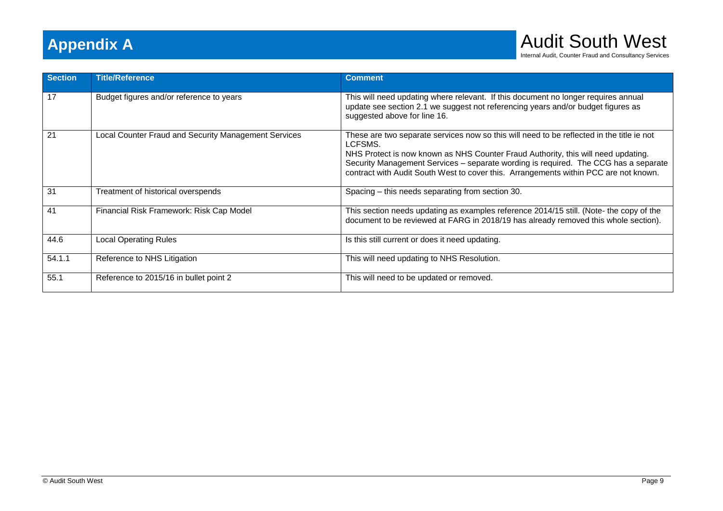

Internal Audit, Counter Fraud and Consultancy Services

| <b>Section</b> | <b>Title/Reference</b>                               | <b>Comment</b>                                                                                                                                                                                                                                                                                                                                                           |
|----------------|------------------------------------------------------|--------------------------------------------------------------------------------------------------------------------------------------------------------------------------------------------------------------------------------------------------------------------------------------------------------------------------------------------------------------------------|
| 17             | Budget figures and/or reference to years             | This will need updating where relevant. If this document no longer requires annual<br>update see section 2.1 we suggest not referencing years and/or budget figures as<br>suggested above for line 16.                                                                                                                                                                   |
| 21             | Local Counter Fraud and Security Management Services | These are two separate services now so this will need to be reflected in the title ie not<br>LCFSMS.<br>NHS Protect is now known as NHS Counter Fraud Authority, this will need updating.<br>Security Management Services - separate wording is required. The CCG has a separate<br>contract with Audit South West to cover this. Arrangements within PCC are not known. |
| 31             | Treatment of historical overspends                   | Spacing – this needs separating from section 30.                                                                                                                                                                                                                                                                                                                         |
| 41             | Financial Risk Framework: Risk Cap Model             | This section needs updating as examples reference 2014/15 still. (Note- the copy of the<br>document to be reviewed at FARG in 2018/19 has already removed this whole section).                                                                                                                                                                                           |
| 44.6           | <b>Local Operating Rules</b>                         | Is this still current or does it need updating.                                                                                                                                                                                                                                                                                                                          |
| 54.1.1         | Reference to NHS Litigation                          | This will need updating to NHS Resolution.                                                                                                                                                                                                                                                                                                                               |
| 55.1           | Reference to 2015/16 in bullet point 2               | This will need to be updated or removed.                                                                                                                                                                                                                                                                                                                                 |